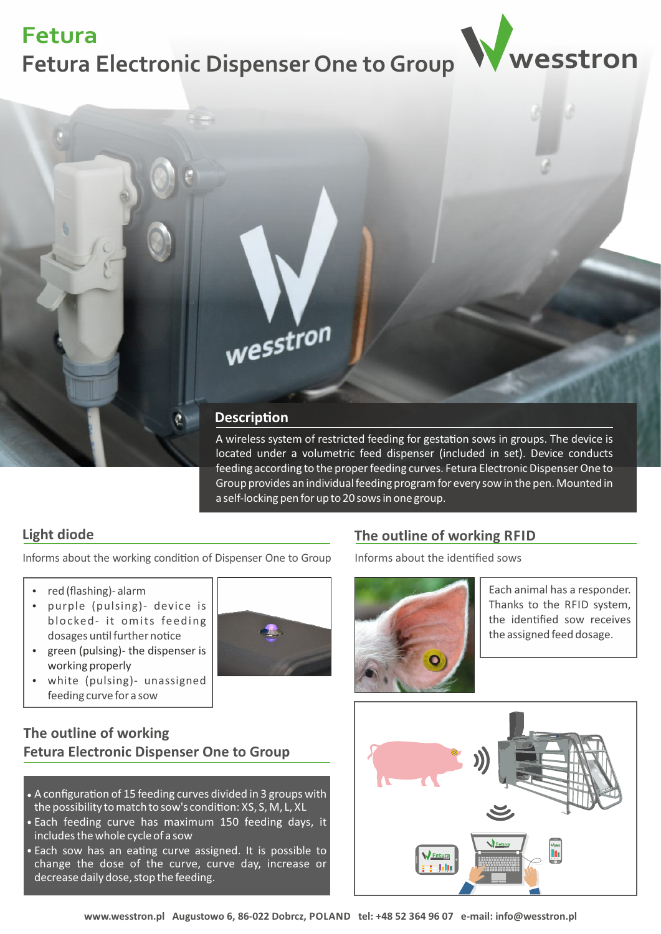## **Fetura Electronic Dispenser One to Group wesstron Fetura**





A wireless system of restricted feeding for gestation sows in groups. The device is located under a volumetric feed dispenser (included in set). Device conducts feeding according to the proper feeding curves. Fetura Electronic Dispenser One to Group provides an individual feeding program for every sow in the pen. Mounted in a self-locking pen for up to 20 sows in one group.

#### **Light diode**

Informs about the working condition of Dispenser One to Group

- red (flashing)- alarm
- purple (pulsing) device is blocked- it omits feeding dosages until further notice
- green (pulsing)- the dispenser is working properly
- white (pulsing)- unassigned feeding curve for a sow



#### **The outline of working Fetura Electronic Dispenser One to Group**

- $\bullet$  A configuration of 15 feeding curves divided in 3 groups with the possibility to match to sow's condition: XS, S, M, L, XL
- Each feeding curve has maximum 150 feeding days, it includes the whole cycle of a sow
- Each sow has an eating curve assigned. It is possible to change the dose of the curve, curve day, increase or decrease daily dose, stop the feeding.

### **The outline of working RFID**

Informs about the idenfied sows



Each animal has a responder. Thanks to the RFID system, the idenfied sow receives the assigned feed dosage.